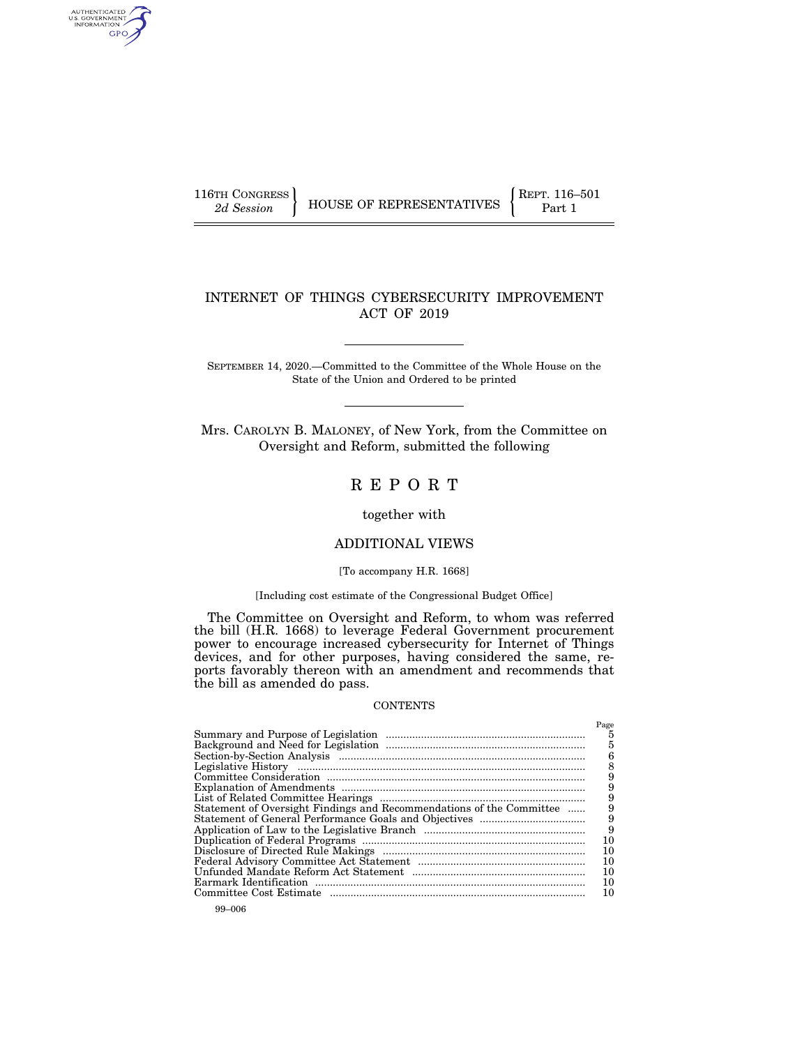AUTHENTICATED<br>U.S. GOVERNMENT<br>INFORMATION GPO

116TH CONGRESS **REPRESENTATIVES** REPRESENTATIVES **Part 1** 

# INTERNET OF THINGS CYBERSECURITY IMPROVEMENT ACT OF 2019

SEPTEMBER 14, 2020.—Committed to the Committee of the Whole House on the State of the Union and Ordered to be printed

Mrs. CAROLYN B. MALONEY, of New York, from the Committee on Oversight and Reform, submitted the following

# R E P O R T

together with

# ADDITIONAL VIEWS

#### [To accompany H.R. 1668]

## [Including cost estimate of the Congressional Budget Office]

The Committee on Oversight and Reform, to whom was referred the bill (H.R. 1668) to leverage Federal Government procurement power to encourage increased cybersecurity for Internet of Things devices, and for other purposes, having considered the same, reports favorably thereon with an amendment and recommends that the bill as amended do pass.

#### **CONTENTS**

| Statement of Oversight Findings and Recommendations of the Committee | Page<br>5<br>5<br>6<br>9<br>9<br>9<br>9<br>10<br>10<br>10<br>10<br>10 |
|----------------------------------------------------------------------|-----------------------------------------------------------------------|
|                                                                      |                                                                       |
|                                                                      | 10                                                                    |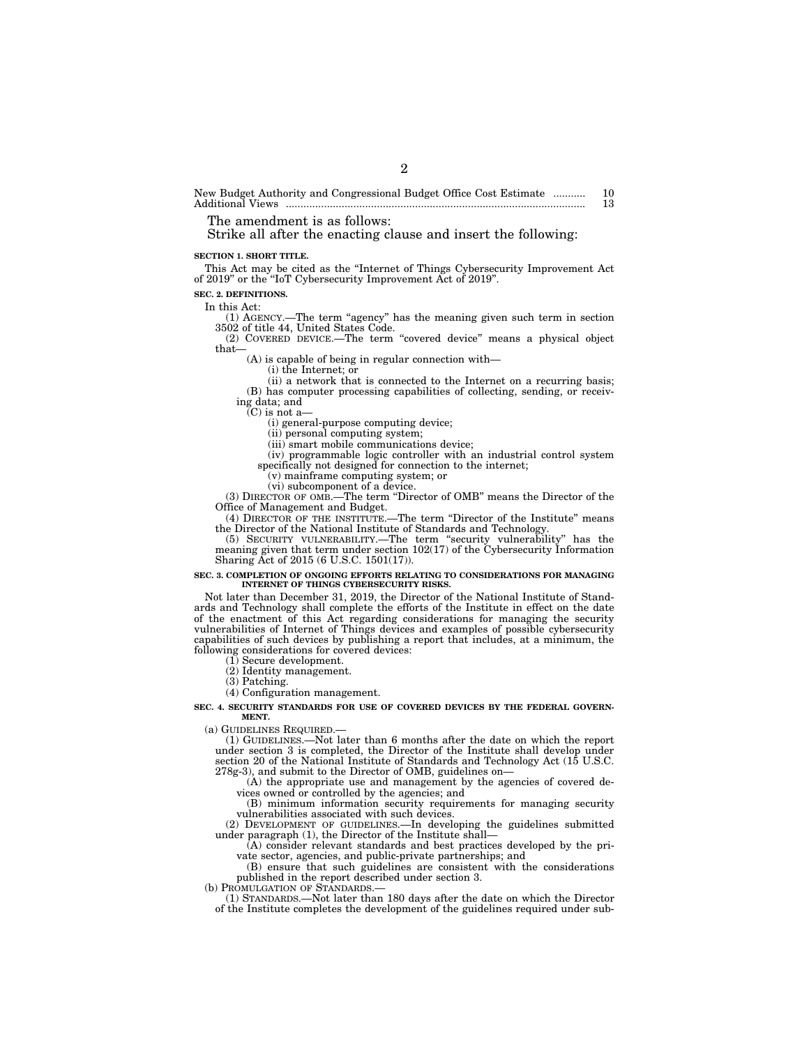New Budget Authority and Congressional Budget Office Cost Estimate ........... 10 Additional Views ...................................................................................................... 13

The amendment is as follows:

Strike all after the enacting clause and insert the following:

#### **SECTION 1. SHORT TITLE.**

This Act may be cited as the ''Internet of Things Cybersecurity Improvement Act of 2019'' or the ''IoT Cybersecurity Improvement Act of 2019''.

2

# **SEC. 2. DEFINITIONS.**

In this Act:

(1) AGENCY.—The term ''agency'' has the meaning given such term in section 3502 of title 44, United States Code.

(2) COVERED DEVICE.—The term ''covered device'' means a physical object that—

(A) is capable of being in regular connection with—

(i) the Internet; or

(ii) a network that is connected to the Internet on a recurring basis: (B) has computer processing capabilities of collecting, sending, or receiving data; and

 $\bar{C}$ ) is not a-

(i) general-purpose computing device;

(ii) personal computing system;

(iii) smart mobile communications device;

(iv) programmable logic controller with an industrial control system

specifically not designed for connection to the internet;

(v) mainframe computing system; or (vi) subcomponent of a device.

(3) DIRECTOR OF OMB.—The term ''Director of OMB'' means the Director of the Office of Management and Budget.

(4) DIRECTOR OF THE INSTITUTE.—The term ''Director of the Institute'' means the Director of the National Institute of Standards and Technology.

(5) SECURITY VULNERABILITY.—The term ''security vulnerability'' has the meaning given that term under section 102(17) of the Cybersecurity Information Sharing Act of 2015 (6 U.S.C. 1501(17)).

#### **SEC. 3. COMPLETION OF ONGOING EFFORTS RELATING TO CONSIDERATIONS FOR MANAGING INTERNET OF THINGS CYBERSECURITY RISKS.**

Not later than December 31, 2019, the Director of the National Institute of Standards and Technology shall complete the efforts of the Institute in effect on the date of the enactment of this Act regarding considerations for managing the security vulnerabilities of Internet of Things devices and examples of possible cybersecurity capabilities of such devices by publishing a report that includes, at a minimum, the following considerations for covered devices:

(1) Secure development.

(2) Identity management.

(3) Patching.

(4) Configuration management.

**SEC. 4. SECURITY STANDARDS FOR USE OF COVERED DEVICES BY THE FEDERAL GOVERN-MENT.** 

(a) GUIDELINES REQUIRED.—

(1) GUIDELINES.—Not later than 6 months after the date on which the report under section 3 is completed, the Director of the Institute shall develop under section 20 of the National Institute of Standards and Technology Act (15 U.S.C. 278g-3), and submit to the Director of OMB, guidelines on—

(A) the appropriate use and management by the agencies of covered devices owned or controlled by the agencies; and

(B) minimum information security requirements for managing security vulnerabilities associated with such devices.

(2) DEVELOPMENT OF GUIDELINES.—In developing the guidelines submitted under paragraph (1), the Director of the Institute shall—

(A) consider relevant standards and best practices developed by the private sector, agencies, and public-private partnerships; and

(B) ensure that such guidelines are consistent with the considerations published in the report described under section 3.

(b) PROMULGATION OF STANDARDS.

(1) STANDARDS.—Not later than 180 days after the date on which the Director of the Institute completes the development of the guidelines required under sub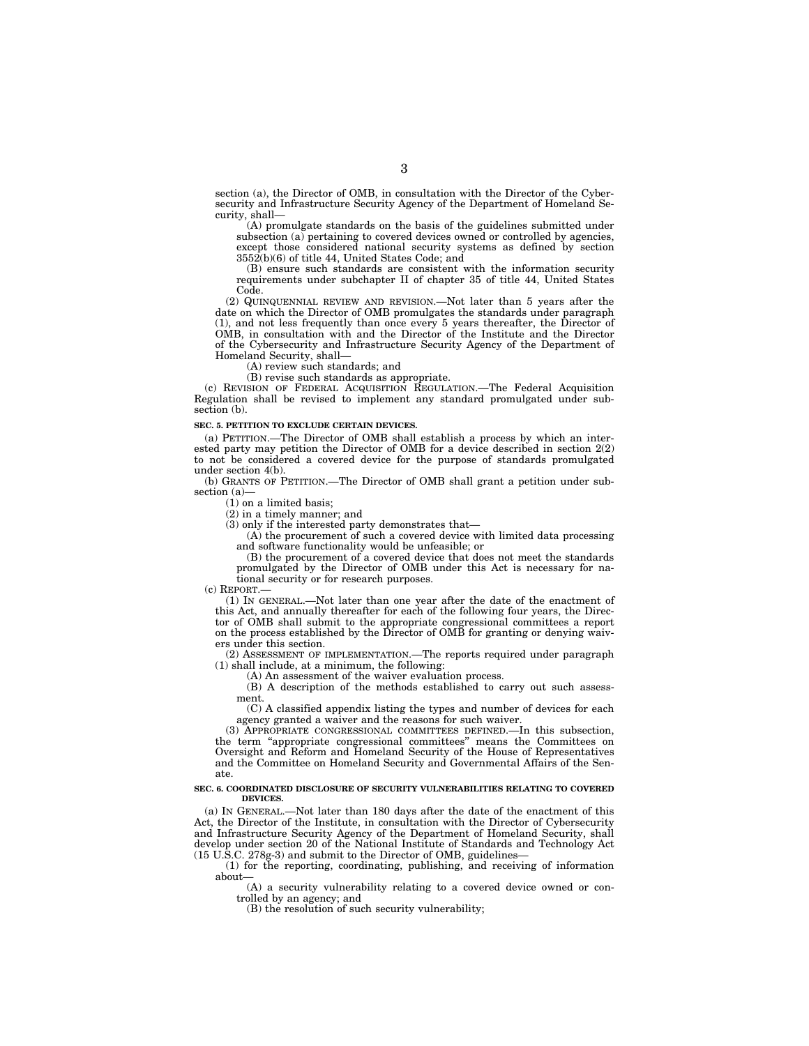section (a), the Director of OMB, in consultation with the Director of the Cybersecurity and Infrastructure Security Agency of the Department of Homeland Security, shall—

(A) promulgate standards on the basis of the guidelines submitted under subsection (a) pertaining to covered devices owned or controlled by agencies, except those considered national security systems as defined by section  $3552(b)(6)$  of title 44, United States Code; and

(B) ensure such standards are consistent with the information security requirements under subchapter II of chapter 35 of title 44, United States Code.

(2) QUINQUENNIAL REVIEW AND REVISION.—Not later than 5 years after the date on which the Director of OMB promulgates the standards under paragraph (1), and not less frequently than once every 5 years thereafter, the Director of OMB, in consultation with and the Director of the Institute and the Director of the Cybersecurity and Infrastructure Security Agency of the Department of Homeland Security, shall—

(A) review such standards; and

(B) revise such standards as appropriate.

(c) REVISION OF FEDERAL ACQUISITION REGULATION.—The Federal Acquisition Regulation shall be revised to implement any standard promulgated under subsection (b).

#### **SEC. 5. PETITION TO EXCLUDE CERTAIN DEVICES.**

(a) PETITION.—The Director of OMB shall establish a process by which an interested party may petition the Director of OMB for a device described in section 2(2) to not be considered a covered device for the purpose of standards promulgated under section 4(b).

(b) GRANTS OF PETITION.—The Director of OMB shall grant a petition under subsection (a)—

 $(1)$  on a limited basis;

(2) in a timely manner; and

(3) only if the interested party demonstrates that—

(A) the procurement of such a covered device with limited data processing and software functionality would be unfeasible; or

(B) the procurement of a covered device that does not meet the standards promulgated by the Director of OMB under this Act is necessary for national security or for research purposes.

(c) REPORT.—

(1) IN GENERAL.—Not later than one year after the date of the enactment of this Act, and annually thereafter for each of the following four years, the Director of OMB shall submit to the appropriate congressional committees a report on the process established by the Director of OMB for granting or denying waivers under this section.

(2) ASSESSMENT OF IMPLEMENTATION.—The reports required under paragraph (1) shall include, at a minimum, the following:

(A) An assessment of the waiver evaluation process.

(B) A description of the methods established to carry out such assessment.

(C) A classified appendix listing the types and number of devices for each agency granted a waiver and the reasons for such waiver.

(3) APPROPRIATE CONGRESSIONAL COMMITTEES DEFINED.—In this subsection, the term "appropriate congressional committees" means the Committees on Oversight and Reform and Homeland Security of the House of Representatives and the Committee on Homeland Security and Governmental Affairs of the Senate.

#### **SEC. 6. COORDINATED DISCLOSURE OF SECURITY VULNERABILITIES RELATING TO COVERED DEVICES.**

(a) IN GENERAL.—Not later than 180 days after the date of the enactment of this Act, the Director of the Institute, in consultation with the Director of Cybersecurity and Infrastructure Security Agency of the Department of Homeland Security, shall develop under section 20 of the National Institute of Standards and Technology Act (15 U.S.C. 278g-3) and submit to the Director of OMB, guidelines—

(1) for the reporting, coordinating, publishing, and receiving of information about—

(A) a security vulnerability relating to a covered device owned or controlled by an agency; and

(B) the resolution of such security vulnerability;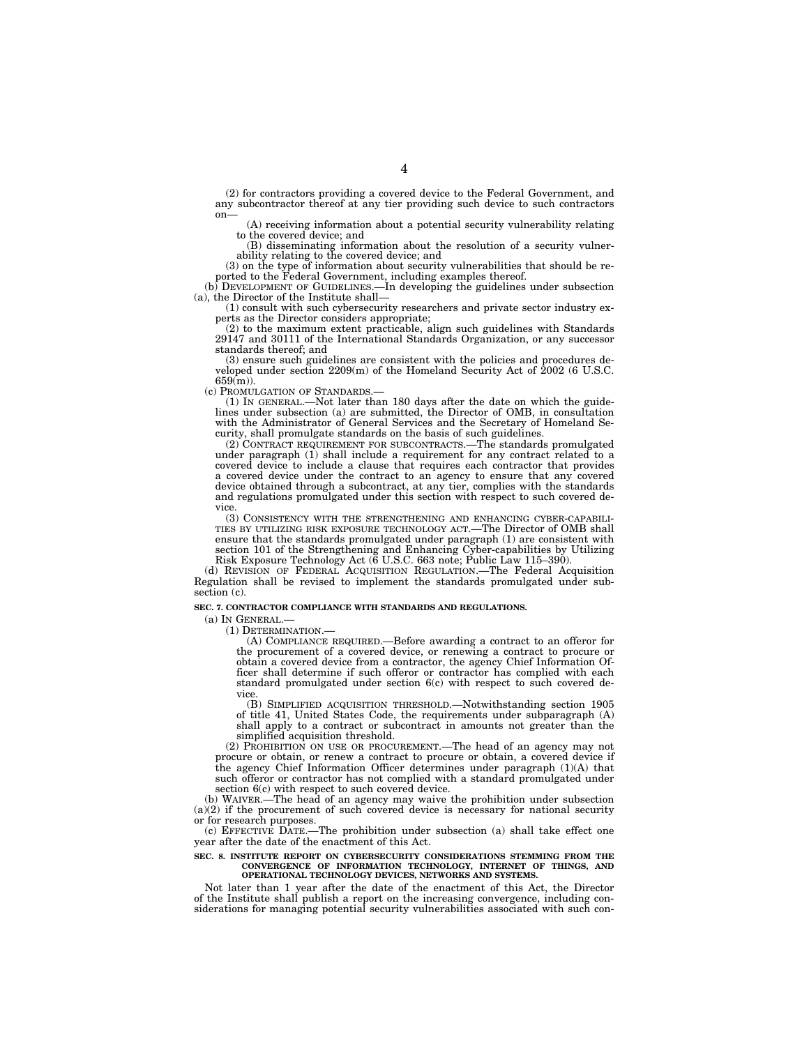(2) for contractors providing a covered device to the Federal Government, and any subcontractor thereof at any tier providing such device to such contractors

 $(A)$  receiving information about a potential security vulnerability relating to the covered device; and

(B) disseminating information about the resolution of a security vulnerability relating to the covered device; and

(3) on the type of information about security vulnerabilities that should be re-

ported to the Federal Government, including examples thereof.<br>
(b) DEVELOPMENT OF GUIDELINES.—In developing the guidelines under subsection<br>
(a), the Director of the Institute shall—

(1) consult with such cybersecurity researchers and private sector industry experts as the Director considers appropriate;

(2) to the maximum extent practicable, align such guidelines with Standards 29147 and 30111 of the International Standards Organization, or any successor standards thereof; and

(3) ensure such guidelines are consistent with the policies and procedures developed under section 2209(m) of the Homeland Security Act of 2002 (6 U.S.C.  $659(m)$ ).<br>(c) Promulgation of Standards.

(1) IN GENERAL.—Not later than 180 days after the date on which the guidelines under subsection (a) are submitted, the Director of OMB, in consultation with the Administrator of General Services and the Secretary of Homeland Security, shall promulgate standards on the basis of such guidelines.

(2) CONTRACT REQUIREMENT FOR SUBCONTRACTS.—The standards promulgated under paragraph (1) shall include a requirement for any contract related to a covered device to include a clause that requires each contractor that provides a covered device under the contract to an agency to ensure that any covered device obtained through a subcontract, at any tier, complies with the standards and regulations promulgated under this section with respect to such covered device.

(3) CONSISTENCY WITH THE STRENGTHENING AND ENHANCING CYBER-CAPABILI-TIES BY UTILIZING RISK EXPOSURE TECHNOLOGY ACT.—The Director of OMB shall ensure that the standards promulgated under paragraph (1) are consistent with section 101 of the Strengthening and Enhancing Cyber-capabilities by Utilizing Risk Exposure Technology Act (6 U.S.C. 663 note; Public Law 115–390).

(d) REVISION OF FEDERAL ACQUISITION REGULATION.—The Federal Acquisition Regulation shall be revised to implement the standards promulgated under subsection (c).

#### **SEC. 7. CONTRACTOR COMPLIANCE WITH STANDARDS AND REGULATIONS.**

(a) IN GENERAL.—

(1) DETERMINATION.—

(A) COMPLIANCE REQUIRED.—Before awarding a contract to an offeror for the procurement of a covered device, or renewing a contract to procure or obtain a covered device from a contractor, the agency Chief Information Officer shall determine if such offeror or contractor has complied with each standard promulgated under section 6(c) with respect to such covered device.

(B) SIMPLIFIED ACQUISITION THRESHOLD.—Notwithstanding section 1905 of title 41, United States Code, the requirements under subparagraph (A) shall apply to a contract or subcontract in amounts not greater than the simplified acquisition threshold.

(2) PROHIBITION ON USE OR PROCUREMENT.—The head of an agency may not procure or obtain, or renew a contract to procure or obtain, a covered device if the agency Chief Information Officer determines under paragraph (1)(A) that such offeror or contractor has not complied with a standard promulgated under section 6(c) with respect to such covered device.

(b) WAIVER.—The head of an agency may waive the prohibition under subsection  $(a)(2)$  if the procurement of such covered device is necessary for national security or for research purposes.

(c) EFFECTIVE DATE.—The prohibition under subsection (a) shall take effect one year after the date of the enactment of this Act.

# SEC. 8. INSTITUTE REPORT ON CYBERSECURITY CONSIDERATIONS STEMMING FROM THE **CONVERGENCE OF INFORMATION TECHNOLOGY, INTERNET OF THINGS, AND <b>OPERATIONAL TECHNOLOGY DEVICES, NETWORKS AND SYSTEMS.**

Not later than 1 year after the date of the enactment of this Act, the Director of the Institute shall publish a report on the increasing convergence, including considerations for managing potential security vulnerabilities associated with such con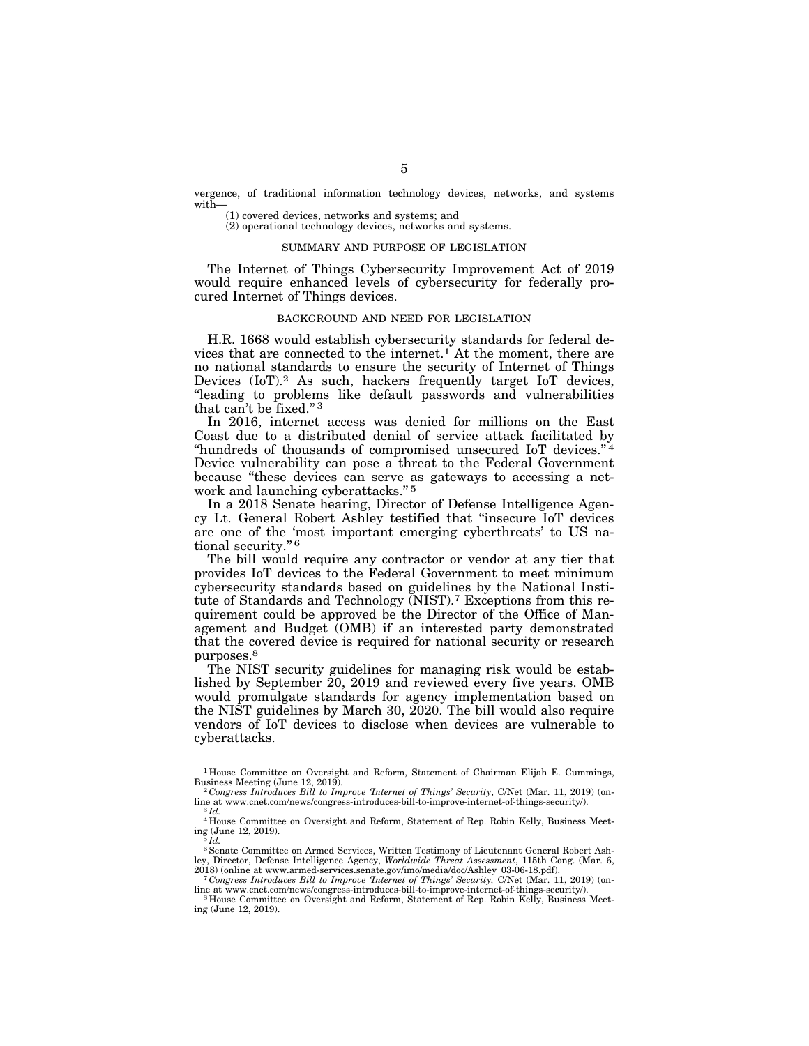vergence, of traditional information technology devices, networks, and systems with—

(1) covered devices, networks and systems; and (2) operational technology devices, networks and systems.

# SUMMARY AND PURPOSE OF LEGISLATION

The Internet of Things Cybersecurity Improvement Act of 2019 would require enhanced levels of cybersecurity for federally procured Internet of Things devices.

### BACKGROUND AND NEED FOR LEGISLATION

H.R. 1668 would establish cybersecurity standards for federal devices that are connected to the internet.<sup>1</sup> At the moment, there are no national standards to ensure the security of Internet of Things Devices (IoT).<sup>2</sup> As such, hackers frequently target IoT devices, ''leading to problems like default passwords and vulnerabilities that can't be fixed.'' 3

In 2016, internet access was denied for millions on the East Coast due to a distributed denial of service attack facilitated by "hundreds of thousands of compromised unsecured IoT devices."<sup>4</sup> Device vulnerability can pose a threat to the Federal Government because ''these devices can serve as gateways to accessing a network and launching cyberattacks."<sup>5</sup>

In a 2018 Senate hearing, Director of Defense Intelligence Agency Lt. General Robert Ashley testified that ''insecure IoT devices are one of the 'most important emerging cyberthreats' to US national security."<sup>6</sup>

The bill would require any contractor or vendor at any tier that provides IoT devices to the Federal Government to meet minimum cybersecurity standards based on guidelines by the National Institute of Standards and Technology (NIST).7 Exceptions from this requirement could be approved be the Director of the Office of Management and Budget (OMB) if an interested party demonstrated that the covered device is required for national security or research purposes.8

The NIST security guidelines for managing risk would be established by September 20, 2019 and reviewed every five years. OMB would promulgate standards for agency implementation based on the NIST guidelines by March 30, 2020. The bill would also require vendors of IoT devices to disclose when devices are vulnerable to cyberattacks.

<sup>1</sup> House Committee on Oversight and Reform, Statement of Chairman Elijah E. Cummings,

Business Meeting (June 12, 2019).<br><sup>2</sup> *Congress Introduces Bill to Improve 'Internet of Things' Security*, C/Net (Mar. 11, 2019) (on-<br>line at www.cnet.com/news/congress-introduces-bill-to-improve-internet-of-things-securit line at www.cnet.com/news/congress-introduces-bill-to-improve-internet-of-things-security/). 3 *Id.*  4 House Committee on Oversight and Reform, Statement of Rep. Robin Kelly, Business Meet-

ing (June 12, 2019). 5 *Id.* 

<sup>6</sup>Senate Committee on Armed Services, Written Testimony of Lieutenant General Robert Ashley, Director, Defense Intelligence Agency, *Worldwide Threat Assessment*, 115th Cong. (Mar. 6,

<sup>&</sup>lt;sup>7</sup> Congress Introduces Bill to Improve 'Internet of Things' Security, C/Net (Mar. 11, 2019) (on-<br>line at www.cnet.com/news/congress-introduces-bill-to-improve-internet-of-things-security/).

line at www.cnet.com/news/congress-introduces-bill-to-improve-internet-of-things-security/). 8 House Committee on Oversight and Reform, Statement of Rep. Robin Kelly, Business Meeting (June 12, 2019).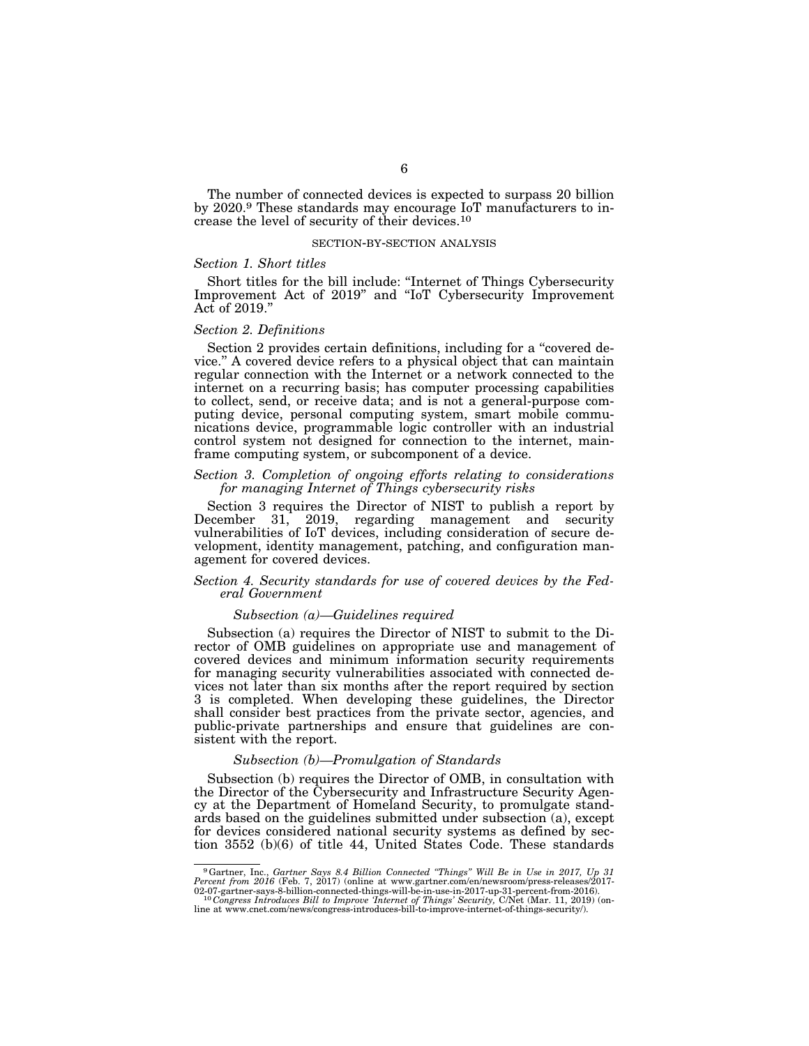The number of connected devices is expected to surpass 20 billion by 2020.9 These standards may encourage IoT manufacturers to increase the level of security of their devices.10

#### SECTION-BY-SECTION ANALYSIS

#### *Section 1. Short titles*

Short titles for the bill include: ''Internet of Things Cybersecurity Improvement Act of 2019'' and ''IoT Cybersecurity Improvement Act of 2019.''

#### *Section 2. Definitions*

Section 2 provides certain definitions, including for a "covered device.'' A covered device refers to a physical object that can maintain regular connection with the Internet or a network connected to the internet on a recurring basis; has computer processing capabilities to collect, send, or receive data; and is not a general-purpose computing device, personal computing system, smart mobile communications device, programmable logic controller with an industrial control system not designed for connection to the internet, mainframe computing system, or subcomponent of a device.

## *Section 3. Completion of ongoing efforts relating to considerations for managing Internet of Things cybersecurity risks*

Section 3 requires the Director of NIST to publish a report by<br>December 31. 2019. regarding management and security 31, 2019, regarding management and security vulnerabilities of IoT devices, including consideration of secure development, identity management, patching, and configuration management for covered devices.

# *Section 4. Security standards for use of covered devices by the Federal Government*

## *Subsection (a)—Guidelines required*

Subsection (a) requires the Director of NIST to submit to the Director of OMB guidelines on appropriate use and management of covered devices and minimum information security requirements for managing security vulnerabilities associated with connected devices not later than six months after the report required by section 3 is completed. When developing these guidelines, the Director shall consider best practices from the private sector, agencies, and public-private partnerships and ensure that guidelines are consistent with the report.

## *Subsection (b)—Promulgation of Standards*

Subsection (b) requires the Director of OMB, in consultation with the Director of the Cybersecurity and Infrastructure Security Agency at the Department of Homeland Security, to promulgate standards based on the guidelines submitted under subsection (a), except for devices considered national security systems as defined by section 3552 (b)(6) of title 44, United States Code. These standards

<sup>9</sup>Gartner, Inc., *Gartner Says 8.4 Billion Connected ''Things'' Will Be in Use in 2017, Up 31 Percent from 2016* (Feb. 7, 2017) (online at www.gartner.com/en/newsroom/press-releases/2017-

<sup>.02-07-</sup>gartner-says-8-billion-connected-things-will-be-in-use-in-2017-up-31-percent-from-2016)<br><sup>10</sup> Con*gress Introduces Bill to Improve 'Internet of Things' Security, C/Net (Mar. 11, 2019) (on-<br>hine at www.cnet.com/news/c*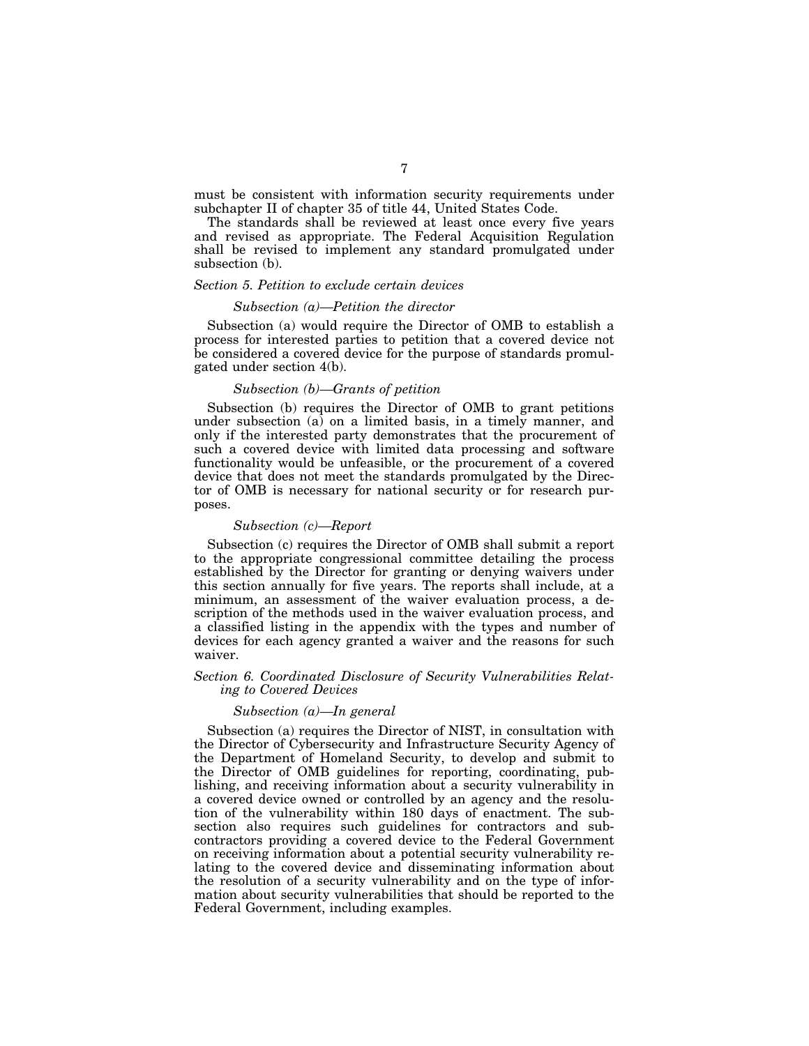must be consistent with information security requirements under subchapter II of chapter 35 of title 44, United States Code.

The standards shall be reviewed at least once every five years and revised as appropriate. The Federal Acquisition Regulation shall be revised to implement any standard promulgated under subsection (b).

# *Section 5. Petition to exclude certain devices*

#### *Subsection (a)—Petition the director*

Subsection (a) would require the Director of OMB to establish a process for interested parties to petition that a covered device not be considered a covered device for the purpose of standards promulgated under section 4(b).

#### *Subsection (b)—Grants of petition*

Subsection (b) requires the Director of OMB to grant petitions under subsection (a) on a limited basis, in a timely manner, and only if the interested party demonstrates that the procurement of such a covered device with limited data processing and software functionality would be unfeasible, or the procurement of a covered device that does not meet the standards promulgated by the Director of OMB is necessary for national security or for research purposes.

#### *Subsection (c)—Report*

Subsection (c) requires the Director of OMB shall submit a report to the appropriate congressional committee detailing the process established by the Director for granting or denying waivers under this section annually for five years. The reports shall include, at a minimum, an assessment of the waiver evaluation process, a description of the methods used in the waiver evaluation process, and a classified listing in the appendix with the types and number of devices for each agency granted a waiver and the reasons for such waiver.

# *Section 6. Coordinated Disclosure of Security Vulnerabilities Relating to Covered Devices*

## *Subsection (a)—In general*

Subsection (a) requires the Director of NIST, in consultation with the Director of Cybersecurity and Infrastructure Security Agency of the Department of Homeland Security, to develop and submit to the Director of OMB guidelines for reporting, coordinating, publishing, and receiving information about a security vulnerability in a covered device owned or controlled by an agency and the resolution of the vulnerability within 180 days of enactment. The subsection also requires such guidelines for contractors and subcontractors providing a covered device to the Federal Government on receiving information about a potential security vulnerability relating to the covered device and disseminating information about the resolution of a security vulnerability and on the type of information about security vulnerabilities that should be reported to the Federal Government, including examples.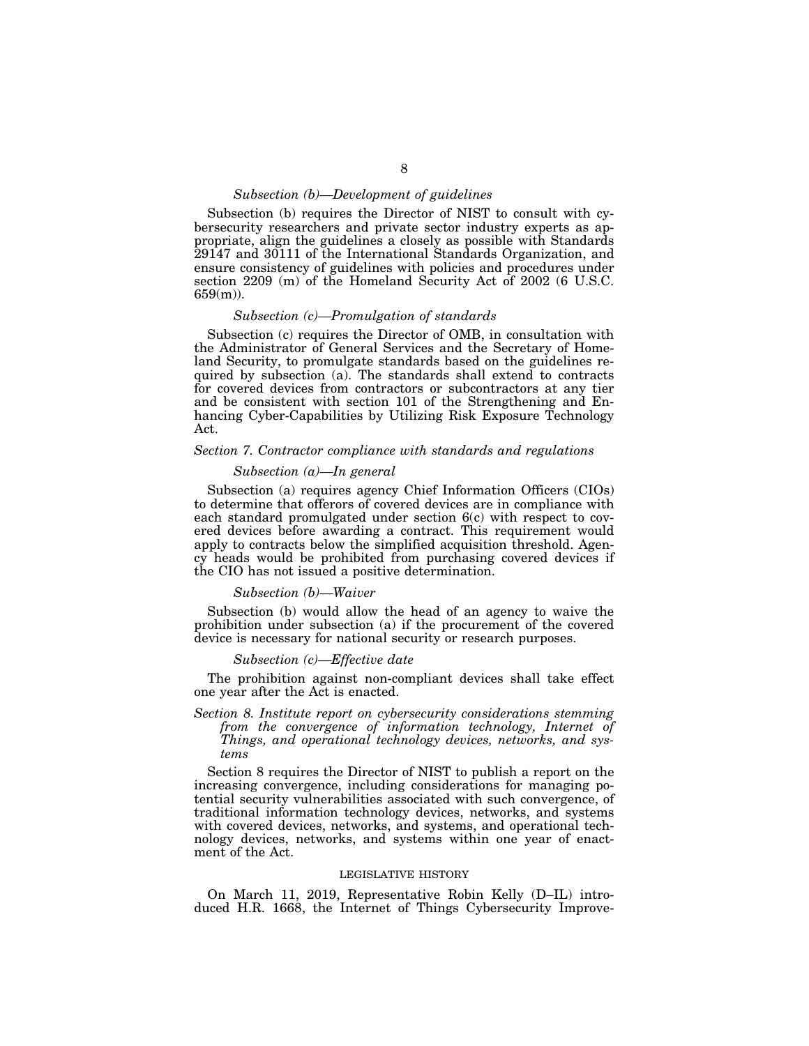# *Subsection (b)—Development of guidelines*

Subsection (b) requires the Director of NIST to consult with cybersecurity researchers and private sector industry experts as appropriate, align the guidelines a closely as possible with Standards 29147 and 30111 of the International Standards Organization, and ensure consistency of guidelines with policies and procedures under section 2209 (m) of the Homeland Security Act of 2002 (6 U.S.C.  $659(m)$ ).

# *Subsection (c)—Promulgation of standards*

Subsection (c) requires the Director of OMB, in consultation with the Administrator of General Services and the Secretary of Homeland Security, to promulgate standards based on the guidelines required by subsection (a). The standards shall extend to contracts for covered devices from contractors or subcontractors at any tier and be consistent with section 101 of the Strengthening and Enhancing Cyber-Capabilities by Utilizing Risk Exposure Technology Act.

# *Section 7. Contractor compliance with standards and regulations*

# *Subsection (a)—In general*

Subsection (a) requires agency Chief Information Officers (CIOs) to determine that offerors of covered devices are in compliance with each standard promulgated under section 6(c) with respect to covered devices before awarding a contract. This requirement would apply to contracts below the simplified acquisition threshold. Agency heads would be prohibited from purchasing covered devices if the CIO has not issued a positive determination.

#### *Subsection (b)—Waiver*

Subsection (b) would allow the head of an agency to waive the prohibition under subsection (a) if the procurement of the covered device is necessary for national security or research purposes.

## *Subsection (c)—Effective date*

The prohibition against non-compliant devices shall take effect one year after the Act is enacted.

*Section 8. Institute report on cybersecurity considerations stemming from the convergence of information technology, Internet of Things, and operational technology devices, networks, and systems* 

Section 8 requires the Director of NIST to publish a report on the increasing convergence, including considerations for managing potential security vulnerabilities associated with such convergence, of traditional information technology devices, networks, and systems with covered devices, networks, and systems, and operational technology devices, networks, and systems within one year of enactment of the Act.

#### LEGISLATIVE HISTORY

On March 11, 2019, Representative Robin Kelly (D–IL) introduced H.R. 1668, the Internet of Things Cybersecurity Improve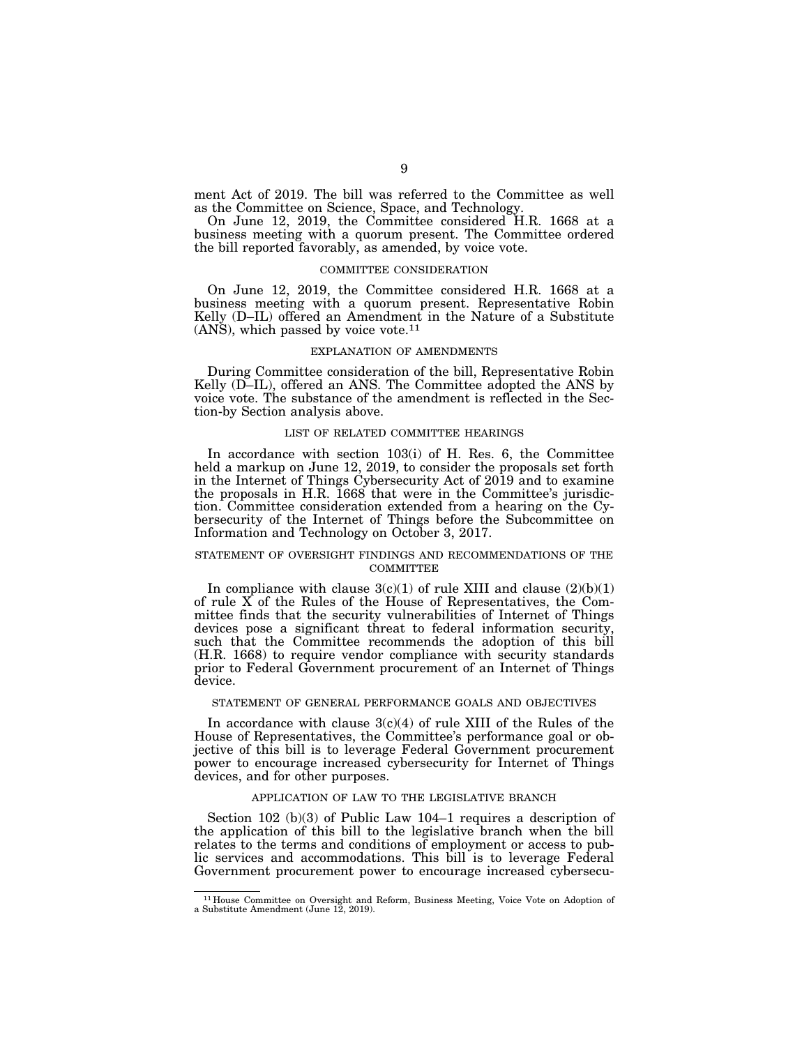ment Act of 2019. The bill was referred to the Committee as well as the Committee on Science, Space, and Technology.

On June 12, 2019, the Committee considered H.R. 1668 at a business meeting with a quorum present. The Committee ordered the bill reported favorably, as amended, by voice vote.

# COMMITTEE CONSIDERATION

On June 12, 2019, the Committee considered H.R. 1668 at a business meeting with a quorum present. Representative Robin Kelly (D–IL) offered an Amendment in the Nature of a Substitute  $(ANS)$ , which passed by voice vote.<sup>11</sup>

#### EXPLANATION OF AMENDMENTS

During Committee consideration of the bill, Representative Robin Kelly (D-IL), offered an ANS. The Committee adopted the ANS by voice vote. The substance of the amendment is reflected in the Section-by Section analysis above.

#### LIST OF RELATED COMMITTEE HEARINGS

In accordance with section 103(i) of H. Res. 6, the Committee held a markup on June 12, 2019, to consider the proposals set forth in the Internet of Things Cybersecurity Act of 2019 and to examine the proposals in H.R. 1668 that were in the Committee's jurisdiction. Committee consideration extended from a hearing on the Cybersecurity of the Internet of Things before the Subcommittee on Information and Technology on October 3, 2017.

#### STATEMENT OF OVERSIGHT FINDINGS AND RECOMMENDATIONS OF THE **COMMITTEE**

In compliance with clause  $3(c)(1)$  of rule XIII and clause  $(2)(b)(1)$ of rule X of the Rules of the House of Representatives, the Committee finds that the security vulnerabilities of Internet of Things devices pose a significant threat to federal information security, such that the Committee recommends the adoption of this bill (H.R. 1668) to require vendor compliance with security standards prior to Federal Government procurement of an Internet of Things device.

#### STATEMENT OF GENERAL PERFORMANCE GOALS AND OBJECTIVES

In accordance with clause  $3(c)(4)$  of rule XIII of the Rules of the House of Representatives, the Committee's performance goal or objective of this bill is to leverage Federal Government procurement power to encourage increased cybersecurity for Internet of Things devices, and for other purposes.

# APPLICATION OF LAW TO THE LEGISLATIVE BRANCH

Section 102 (b)(3) of Public Law 104–1 requires a description of the application of this bill to the legislative branch when the bill relates to the terms and conditions of employment or access to public services and accommodations. This bill is to leverage Federal Government procurement power to encourage increased cybersecu-

<sup>11</sup> House Committee on Oversight and Reform, Business Meeting, Voice Vote on Adoption of a Substitute Amendment (June 12, 2019).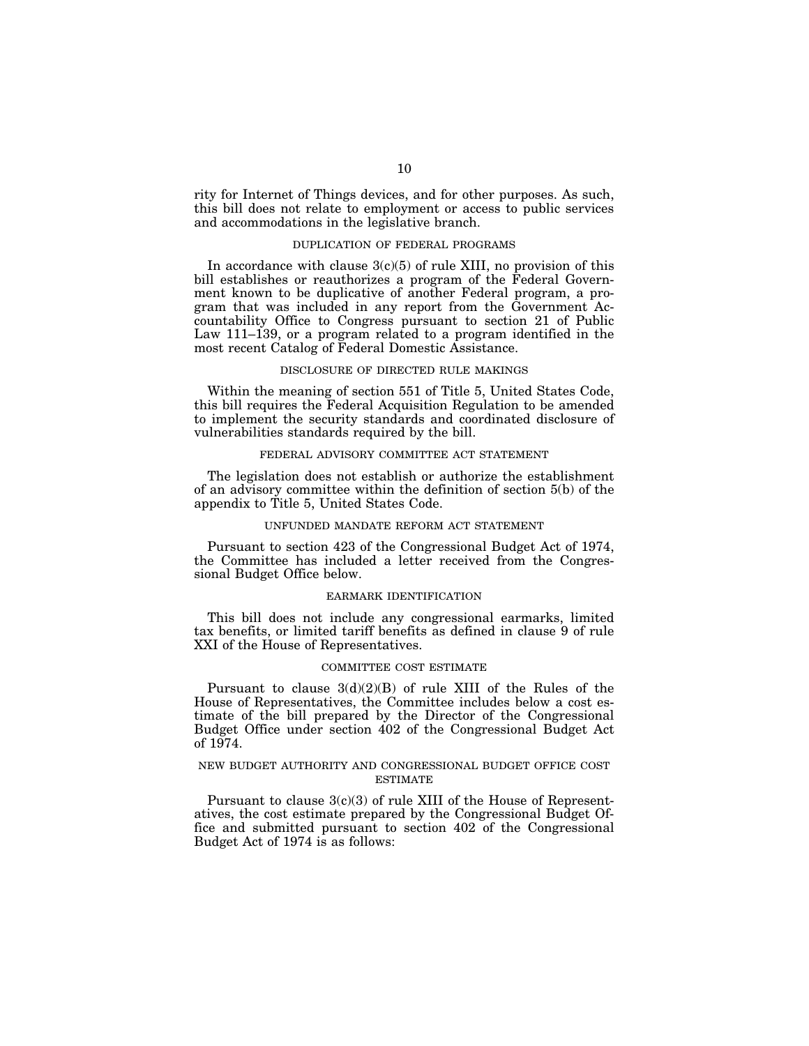rity for Internet of Things devices, and for other purposes. As such, this bill does not relate to employment or access to public services and accommodations in the legislative branch.

# DUPLICATION OF FEDERAL PROGRAMS

In accordance with clause  $3(c)(5)$  of rule XIII, no provision of this bill establishes or reauthorizes a program of the Federal Government known to be duplicative of another Federal program, a program that was included in any report from the Government Accountability Office to Congress pursuant to section 21 of Public Law 111–139, or a program related to a program identified in the most recent Catalog of Federal Domestic Assistance.

# DISCLOSURE OF DIRECTED RULE MAKINGS

Within the meaning of section 551 of Title 5, United States Code, this bill requires the Federal Acquisition Regulation to be amended to implement the security standards and coordinated disclosure of vulnerabilities standards required by the bill.

#### FEDERAL ADVISORY COMMITTEE ACT STATEMENT

The legislation does not establish or authorize the establishment of an advisory committee within the definition of section 5(b) of the appendix to Title 5, United States Code.

#### UNFUNDED MANDATE REFORM ACT STATEMENT

Pursuant to section 423 of the Congressional Budget Act of 1974, the Committee has included a letter received from the Congressional Budget Office below.

#### EARMARK IDENTIFICATION

This bill does not include any congressional earmarks, limited tax benefits, or limited tariff benefits as defined in clause 9 of rule XXI of the House of Representatives.

# COMMITTEE COST ESTIMATE

Pursuant to clause  $3(d)(2)(B)$  of rule XIII of the Rules of the House of Representatives, the Committee includes below a cost estimate of the bill prepared by the Director of the Congressional Budget Office under section 402 of the Congressional Budget Act of 1974.

#### NEW BUDGET AUTHORITY AND CONGRESSIONAL BUDGET OFFICE COST ESTIMATE

Pursuant to clause  $3(c)(3)$  of rule XIII of the House of Representatives, the cost estimate prepared by the Congressional Budget Office and submitted pursuant to section 402 of the Congressional Budget Act of 1974 is as follows: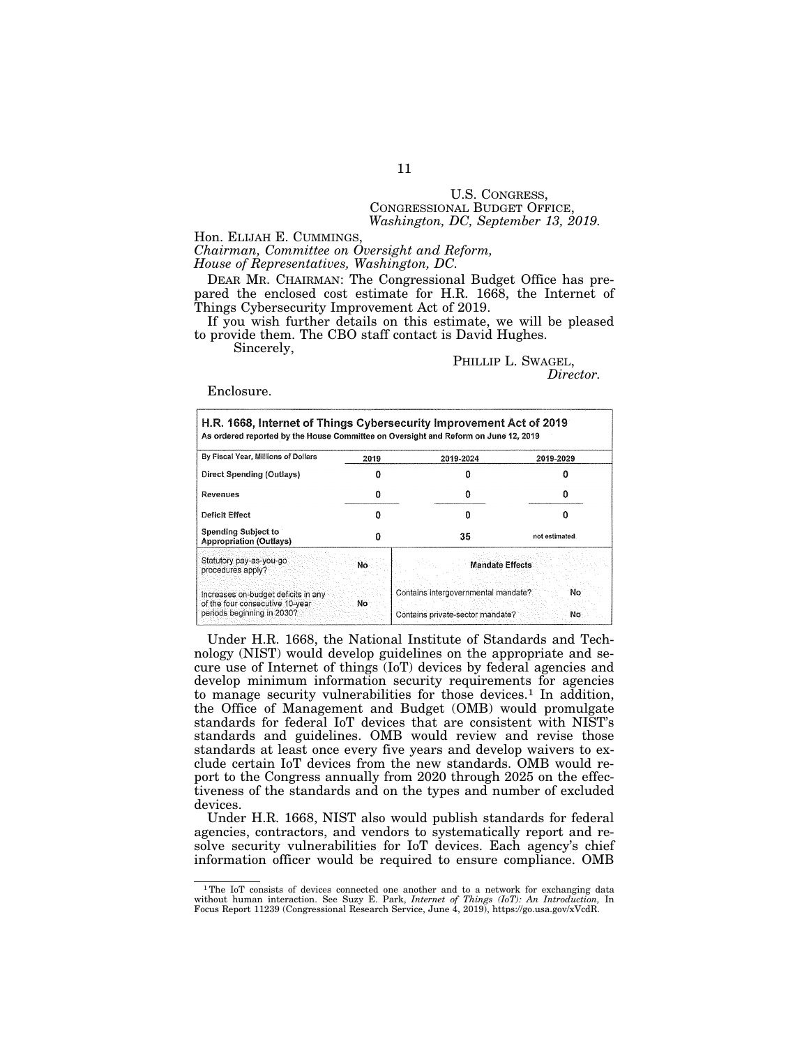# U.S. CONGRESS, CONGRESSIONAL BUDGET OFFICE, *Washington, DC, September 13, 2019.*

Hon. ELIJAH E. CUMMINGS,

*Chairman, Committee on Oversight and Reform,* 

*House of Representatives, Washington, DC.* 

DEAR MR. CHAIRMAN: The Congressional Budget Office has prepared the enclosed cost estimate for H.R. 1668, the Internet of Things Cybersecurity Improvement Act of 2019.

If you wish further details on this estimate, we will be pleased to provide them. The CBO staff contact is David Hughes.

Sincerely,

PHILLIP L. SWAGEL, *Director.* 

Enclosure.

| By Fiscal Year, Millions of Dollars                                                                   | 2019 | 2019-2024                                                               | 2019-2029     |  |  |
|-------------------------------------------------------------------------------------------------------|------|-------------------------------------------------------------------------|---------------|--|--|
| Direct Spending (Outlays)                                                                             |      |                                                                         |               |  |  |
| Revenues                                                                                              |      |                                                                         |               |  |  |
| Deficit Effect                                                                                        | n    | п                                                                       |               |  |  |
| <b>Spending Subject to</b><br><b>Appropriation (Outlays)</b>                                          | 0    | 35                                                                      | not estimated |  |  |
| Statutory pay-as-you-go<br>procedures apply?                                                          | No   | <b>Mandate Effects</b>                                                  |               |  |  |
| Increases on-budget deficits in any<br>of the four consecutive 10-year.<br>periods beginning in 2030? | No   | Contains intergovernmental mandate?<br>Contains private-sector mandate? | No<br>No      |  |  |

Under H.R. 1668, the National Institute of Standards and Technology (NIST) would develop guidelines on the appropriate and secure use of Internet of things (IoT) devices by federal agencies and develop minimum information security requirements for agencies to manage security vulnerabilities for those devices.<sup>1</sup> In addition, the Office of Management and Budget (OMB) would promulgate standards for federal IoT devices that are consistent with NIST's standards and guidelines. OMB would review and revise those standards at least once every five years and develop waivers to exclude certain IoT devices from the new standards. OMB would report to the Congress annually from 2020 through 2025 on the effectiveness of the standards and on the types and number of excluded devices.

Under H.R. 1668, NIST also would publish standards for federal agencies, contractors, and vendors to systematically report and resolve security vulnerabilities for IoT devices. Each agency's chief information officer would be required to ensure compliance. OMB

<sup>1</sup>The IoT consists of devices connected one another and to a network for exchanging data without human interaction. See Suzy E. Park, *Internet of Things (IoT): An Introduction*, In Focus Report 11239 (Congressional Research Service, June 4, 2019), https://go.usa.gov/xVcdR.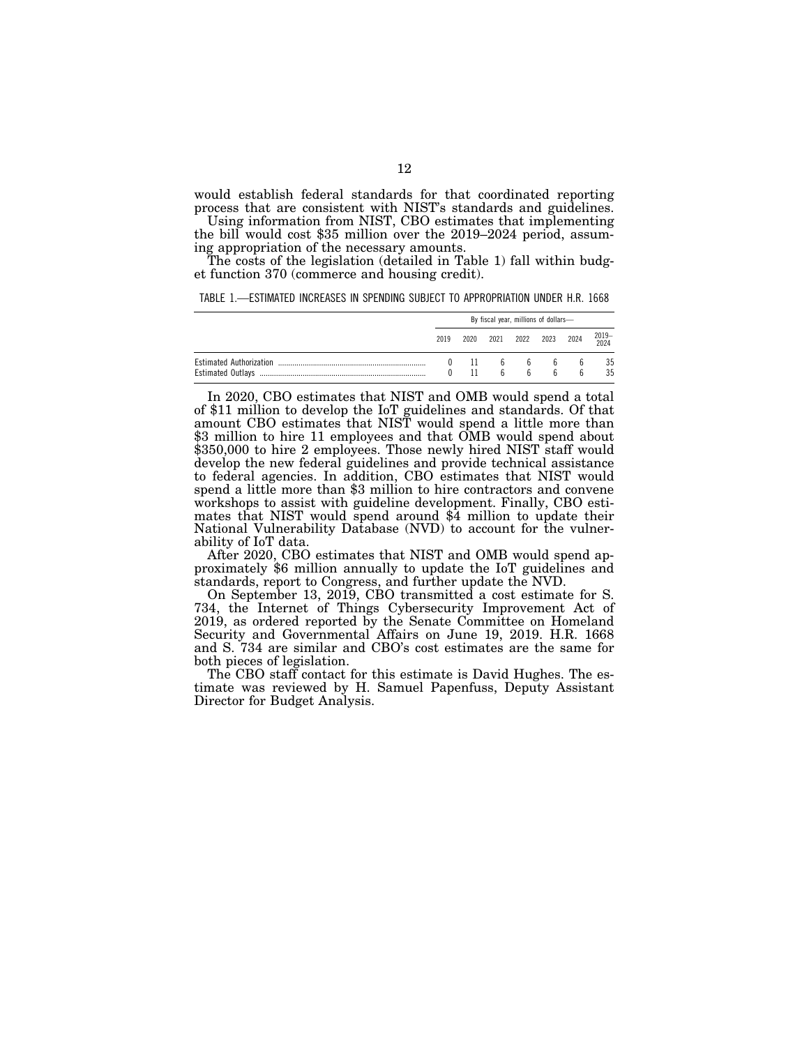would establish federal standards for that coordinated reporting process that are consistent with NIST's standards and guidelines.<br>Using information from NIST, CBO estimates that implementing

the bill would cost \$35 million over the 2019–2024 period, assuming appropriation of the necessary amounts.

The costs of the legislation (detailed in Table 1) fall within budget function 370 (commerce and housing credit).

TABLE 1.—ESTIMATED INCREASES IN SPENDING SUBJECT TO APPROPRIATION UNDER H.R. 1668

| By fiscal year, millions of dollars- |              |  |                       |                     |                   |               |  |
|--------------------------------------|--------------|--|-----------------------|---------------------|-------------------|---------------|--|
| 2019                                 | 2020         |  |                       | 2021 2022 2023 2024 |                   | 2019-<br>2024 |  |
| $\bf{0}$<br>$\mathsf{U}$             | - 11<br>- 11 |  | $\mathsf{f}$<br>$6 -$ | 666<br><b>K</b>     | <sub>b</sub><br>h | 35<br>35      |  |

In 2020, CBO estimates that NIST and OMB would spend a total of \$11 million to develop the IoT guidelines and standards. Of that amount CBO estimates that NIST would spend a little more than \$3 million to hire 11 employees and that OMB would spend about \$350,000 to hire 2 employees. Those newly hired NIST staff would develop the new federal guidelines and provide technical assistance to federal agencies. In addition, CBO estimates that NIST would spend a little more than \$3 million to hire contractors and convene workshops to assist with guideline development. Finally, CBO estimates that NIST would spend around \$4 million to update their National Vulnerability Database (NVD) to account for the vulnerability of IoT data.

After 2020, CBO estimates that NIST and OMB would spend approximately \$6 million annually to update the IoT guidelines and standards, report to Congress, and further update the NVD.

On September 13, 2019, CBO transmitted a cost estimate for S. 734, the Internet of Things Cybersecurity Improvement Act of 2019, as ordered reported by the Senate Committee on Homeland Security and Governmental Affairs on June 19, 2019. H.R. 1668 and S. 734 are similar and CBO's cost estimates are the same for both pieces of legislation.

The CBO staff contact for this estimate is David Hughes. The estimate was reviewed by H. Samuel Papenfuss, Deputy Assistant Director for Budget Analysis.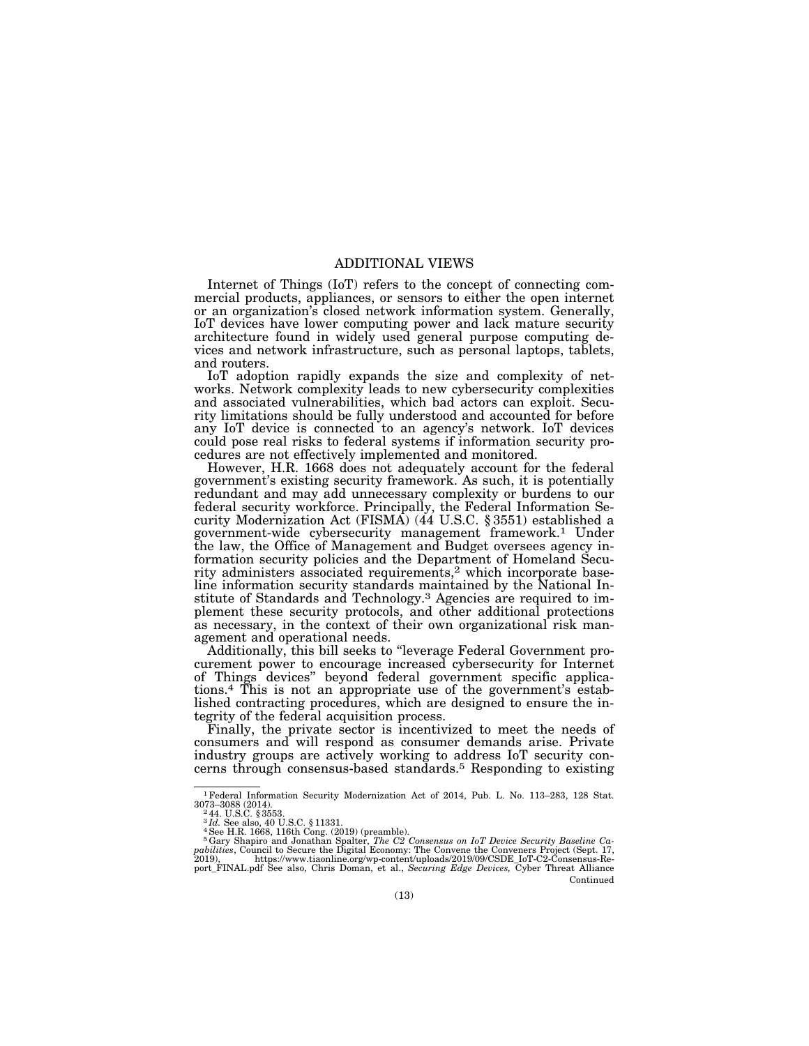# ADDITIONAL VIEWS

Internet of Things (IoT) refers to the concept of connecting commercial products, appliances, or sensors to either the open internet or an organization's closed network information system. Generally, IoT devices have lower computing power and lack mature security architecture found in widely used general purpose computing devices and network infrastructure, such as personal laptops, tablets, and routers.

IoT adoption rapidly expands the size and complexity of networks. Network complexity leads to new cybersecurity complexities and associated vulnerabilities, which bad actors can exploit. Security limitations should be fully understood and accounted for before any IoT device is connected to an agency's network. IoT devices could pose real risks to federal systems if information security procedures are not effectively implemented and monitored.

However, H.R. 1668 does not adequately account for the federal government's existing security framework. As such, it is potentially redundant and may add unnecessary complexity or burdens to our federal security workforce. Principally, the Federal Information Security Modernization Act (FISMA) (44 U.S.C. § 3551) established a government-wide cybersecurity management framework.1 Under the law, the Office of Management and Budget oversees agency information security policies and the Department of Homeland Security administers associated requirements,<sup>2</sup> which incorporate baseline information security standards maintained by the National Institute of Standards and Technology.3 Agencies are required to implement these security protocols, and other additional protections as necessary, in the context of their own organizational risk management and operational needs.

Additionally, this bill seeks to ''leverage Federal Government procurement power to encourage increased cybersecurity for Internet of Things devices'' beyond federal government specific applications.4 This is not an appropriate use of the government's established contracting procedures, which are designed to ensure the integrity of the federal acquisition process.

Finally, the private sector is incentivized to meet the needs of consumers and will respond as consumer demands arise. Private industry groups are actively working to address IoT security concerns through consensus-based standards.5 Responding to existing

Continued

<sup>1</sup>Federal Information Security Modernization Act of 2014, Pub. L. No. 113–283, 128 Stat. 3073–3088 (2014). 2 44. U.S.C. § 3553.

<sup>&</sup>lt;sup>3</sup>Id. See also, 40 U.S.C. § 11331.<br><sup>5</sup> Gery Shapiro and Jonathan Spalter, *The C2 Consensus on IoT Device Security Baseline Ca*<br><sup>5</sup> Gary Shapiro and Jonathan Spalter, *The C2 Consensus on IoT Device Security Baseline Ca* port\_FINAL.pdf See also, Chris Doman, et al., *Securing Edge Devices,* Cyber Threat Alliance